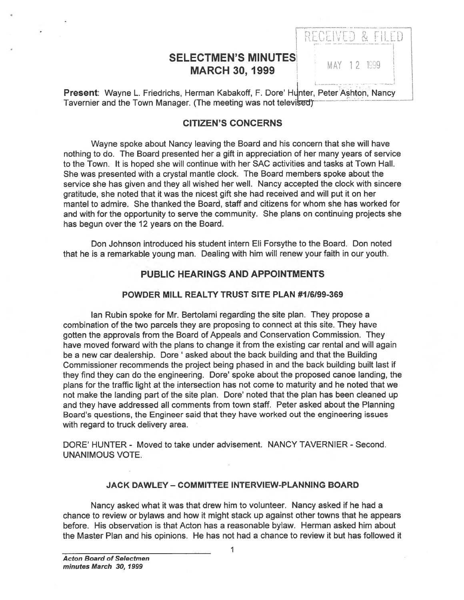# SELECTMEN'S MINUTES **MARCH 30, 1999** MAY 12 1999

RECEIVED & FILED

Present: Wayne L. Friedrichs, Herman Kabakoff, F. Dore' Hunter, Peter Ashton, Nancy<br>Tavernier and the Town Manager. (The meeting was not televised)

### CITIZEN'S CONCERNS

Wayne spoke about Nancy leaving the Board and his concern that she will have nothing to do. The Board presented her <sup>a</sup> gift in appreciation of her many years of service to the Town. It is hoped she will continue with her SAC activities and tasks at Town Hall. She was presented with <sup>a</sup> crystal mantle clock. The Board members spoke about the service she has given and they all wished her well. Nancy accepted the clock with sincere gratitude, she noted that it was the nicest gift she had received and will pu<sup>t</sup> it on her mantel to admire. She thanked the Board, staff and citizens for whom she has worked for and with for the opportunity to serve the community. She plans on continuing projects she has begun over the 12 years on the Board.

Don Johnson introduced his student intern Eli Forsythe to the Board. Don noted that he is <sup>a</sup> remarkable young man. Dealing with him will renew your faith in our youth.

### PUBLIC HEARINGS AND APPOINTMENTS

### POWDER MILL REALTY TRUST SITE PLAN #116199-369

Ian Rubin spoke for Mr. Bertolami regarding the site plan. They propose <sup>a</sup> combination of the two parcels they are proposing to connect at this site. They have gotten the approvals from the Board of Appeals and Conservation Commission. They have moved forward with the plans to change it from the existing car rental and will again be <sup>a</sup> new car dealership. Dore' asked about the back building and that the Building Commissioner recommends the project being phased in and the back building built last if they find they can do the engineering. Dore' spoke about the proposed canoe landing, the plans for the traffic light at the intersection has not come to maturity and he noted that we not make the landing par<sup>t</sup> of the site plan. Dore' noted that the plan has been cleaned up and they have addressed all comments from town staff. Peter asked about the Planning Board's questions, the Engineer said that they have worked out the engineering issues with regard to truck delivery area.

DORE' HUNTER - Moved to take under advisement. NANCY TAVERNIER - Second. UNANIMOUS VOTE.

#### JACK DAWLEY - COMMITTEE INTERVIEW-PLANNING BOARD

Nancy asked what it was that drew him to volunteer. Nancy asked if he had <sup>a</sup> chance to review or bylaws and how it might stack up against other towns that he appears before. His observation is that Acton has <sup>a</sup> reasonable bylaw. Herman asked him about the Master Plan and his opinions. He has not had <sup>a</sup> chance to review it but has followed it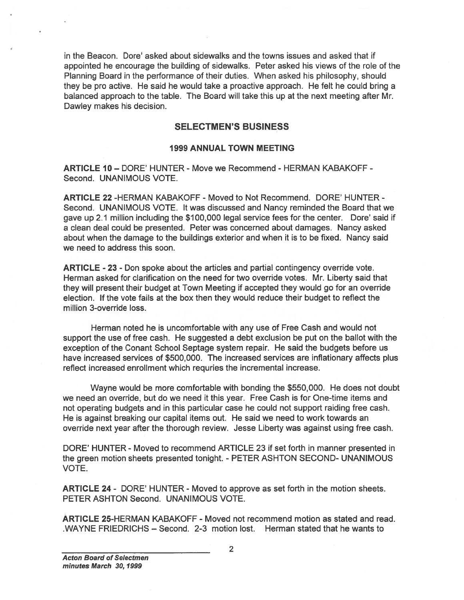in the Beacon. Dore' asked about sidewalks and the towns issues and asked that if appointed he encourage the building of sidewalks. Peter asked his views of the role of the Planning Board in the performance of their duties. When asked his philosophy, should they be pro active. He said he would take <sup>a</sup> proactive approach. He felt he could bring <sup>a</sup> balanced approach to the table. The Board will take this up at the next meeting after Mr. Dawley makes his decision.

### SELECTMEN'S BUSINESS

#### 1999 ANNUAL TOWN MEETING

ARTICLE 10— DORE' HUNTER - Move we Recommend - HERMAN KABAKOFF - Second. UNANIMOUS VOTE.

ARTICLE 22 -HERMAN KABAKOFF - Moved to Not Recommend. DORE' HUNTER - Second. UNANIMOUS VOTE. It was discussed and Nancy reminded the Board that we gave up 2.1 million including the \$700,000 legal service fees for the center. Dore' said if <sup>a</sup> clean deal could be presented. Peter was concerned about damages. Nancy asked about when the damage to the buildings exterior and when it is to be fixed. Nancy said we need to address this soon. in the Beacon. Dors' asked about sidewalks and the towns issues and asked that if appointed the excompact in the braining of alternation of their distance when asked his views of the nie brain and the Herman state when ask

ARTICLE - 23 - Don spoke about the articles and partial contingency override vote. Herman asked for clarification on the need for two override votes. Mr. Liberty said that they will presen<sup>t</sup> their budget at Town Meeting if accepted they would go for an override election. If the vote fails at the box then they would reduce their budget to reflect the million 3-override loss.

Herman noted he is uncomfortable with any use of Free Cash and would not suppor<sup>t</sup> the use of free cash. He suggested <sup>a</sup> debt exclusion be pu<sup>t</sup> on the ballot with the exception of the Conant School Septage system repair. He said the budgets before us have increased services of \$500,000. The increased services are inflationary affects plus reflect increased enrollment which requries the incremental increase.

Wayne would be more comfortable with bonding the \$550,000. He does not doubt we need an override, but do we need it this year. Free Cash is for One-time items and not operating budgets and in this particular case he could not suppor<sup>t</sup> raiding free cash. He is against breaking our capital items out. He said we need to work towards an override next year after the thorough review. Jesse Liberty was against using free cash.

DORE' HUNTER - Moved to recommend ARTICLE 23 if set forth in manner presented in the green motion sheets presented tonight. - PETER ASHTON SECOND- UNANIMOUS VOTE.

ARTICLE 24 - DORE' HUNTER - Moved to approve as set forth in the motion sheets. PETER ASHTON Second. UNANIMOUS VOTE.

ARTICLE 25-HERMAN KABAKOFF - Moved not recommend motion as stated and read.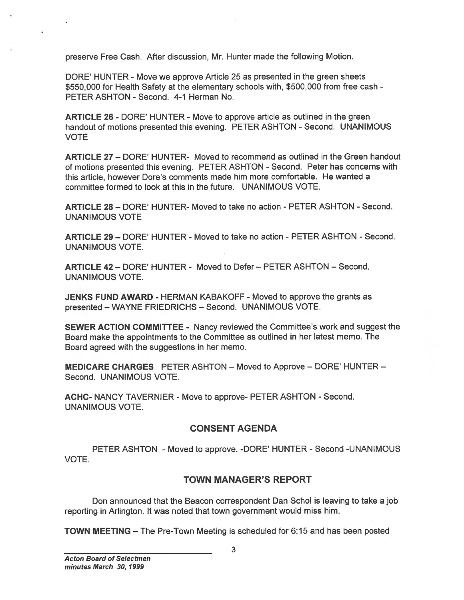preserve Free Cash. After discussion, Mr. Hunter made the following Motion.

DORE' HUNTER - Move we approve Article 25 as presented in the green sheets \$550,000 for Health Safety at the elementary schools with, \$500,000 from free cash - PETER ASHTON - Second. 4-1 Herman No.

ARTICLE 26 - DORE' HUNTER - Move to approve article as outlined in the green handout of motions presented this evening. PETER ASHTON - Second. UNANIMOUS VOTE

ARTICLE 27 — DORE' HUNTER- Moved to recommend as outlined in the Green handout of motions presented this evening. PETER ASHTON - Second. Peter has concerns with this article, however Dote's comments made him more comfortable. He wanted <sup>a</sup> committee formed to look at this in the future. UNANIMOUS VOTE. TOWER FIRE CASH After discussion, Mr. Hunter made the following Motion.<br>
TORIC HUNTER - Move we approve Article 25 as presented in the green sheets<br>
SESCORI for Has disting at the elementary schools with, 5500,000 from fre

ARTICLE 28— DORE' HUNTER- Moved to take no action -PETER ASHTON - Second. UNANIMOUS VOTE

ARTICLE 29 - DORE' HUNTER - Moved to take no action - PETER ASHTON - Second. UNANIMOUS VOTE.

ARTICLE 42— DORE' HUNTER - Moved to Defer — PETER ASHTON — Second. UNANIMOUS VOTE.

JENKS FUND AWARD - HERMAN KABAKOFF - Moved to approve the grants as presented — WAYNE FRIEDRICHS — Second. UNANIMOUS VOTE.

SEWER ACTION COMMITTEE - Nancy reviewed the Committee's work and sugges<sup>t</sup> the Board make the appointments to the Committee as outlined in her latest memo. The Board agreed with the suggestions in her memo.

MEDICARE CHARGES PETER ASHTON — Moved to Approve — DORE' HUNTER — Second. UNANIMOUS VOTE.

ACHC- NANCY TAVERNIER - Move to approve- PETER ASHTON - Second. UNANIMOUS VOTE.

### CONSENT AGENDA

PETER ASHTON - Moved to approve. -DORE' HUNTER - Second -UNANIMOUS VOTE.

### TOWN MANAGER'S REPORT

Don announced that the Beacon correspondent Dan Schol is leaving to take <sup>a</sup> job reporting in Arlington. It was noted that town governmen<sup>t</sup> would miss him.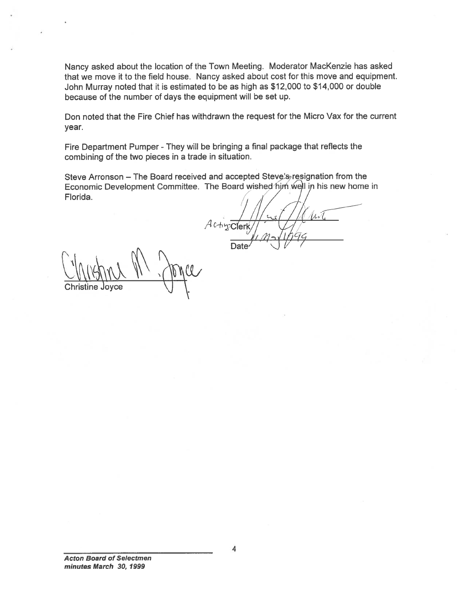Nancy asked about the location of the Town Meeting. Moderator MacKenzie has asked that we move it to the field house. Nancy asked about cost for this move and equipment. John Murray noted that it is estimated to be as high as \$12,000 to \$14,000 or double because of the number of days the equipment will be set up.

Don noted that the Fire Chief has withdrawn the reques<sup>t</sup> for the Micro Vax for the current year.

Fire Department Pumper - They will be bringing <sup>a</sup> final package that reflects the combining of the two <sup>p</sup>ieces in <sup>a</sup> trade in situation.

Steve Arronson – The Board received and accepted Steve's resignation from the Economic Development Committee. The Board wished him well in his new home in Florida.

 $A$ c-h $x$ Clerk Date  $\prime$   $\prime$  /

Christine Joyce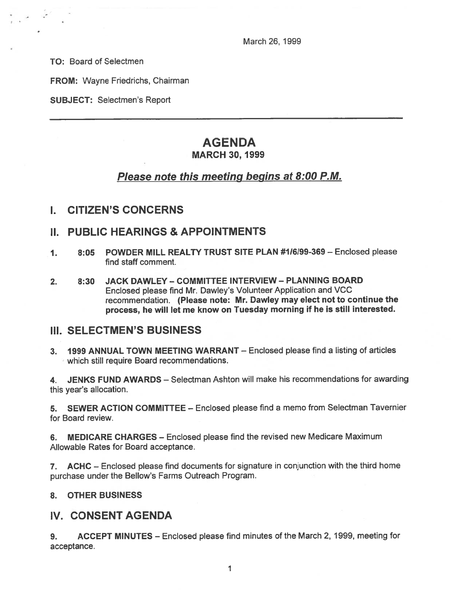March 26, 1999

TO: Board of Selectmen

FROM: Wayne Friedrichs, Chairman

SUBJECT: Selectmen's Report

## AGENDA MARCH 30, 1999

# Please note this meeting begins at 8:00 P.M.

I. CITIZEN'S CONCERNS

### II. PUBLIC HEARINGS & APPOINTMENTS

- 1. 8:05 POWDER MILL REALTY TRUST SITE PLAN #116199-369 Enclosed please find staff comment.
- 2. 8:30 JACK DAWLEY COMMITTEE INTERVIEW PLANNING BOARD Enclosed <sup>p</sup>lease find Mr. Dawley's Volunteer Application and VCC recommendation. (Please note: Mr. Dawley may elect not to continue the process, he will let me know on Tuesday morning if he is still interested.

### III. SELECTMEN'S BUSINESS

3. 1999 ANNUAL TOWN MEETING WARRANT — Enclosed please find <sup>a</sup> listing of articles which still require Board recommendations.

4. JENKS FUND AWARDS — Selectman Ashton will make his recommendations for awarding this year's allocation.

5. SEWER ACTION COMMITTEE — Enclosed please find <sup>a</sup> memo from Selectman Tavernier for Board review.

6. MEDICARE CHARGES — Enclosed please find the revised new Medicare Maximum Allowable Rates for Board acceptance.

7. ACHC — Enclosed <sup>p</sup>lease find documents for signature in conjunction with the third home purchase under the Bellow's Farms Outreach Program.

### 8. OTHER BUSINESS

# IV. CONSENT AGENDA

9. ACCEPT MINUTES — Enclosed please find minutes of the March 2, 1999, meeting for acceptance.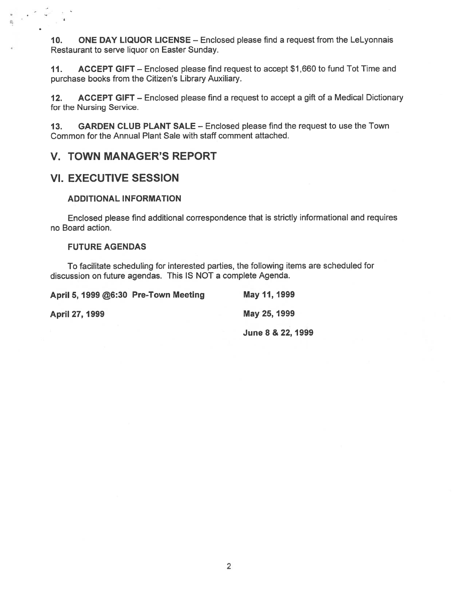10. ONE DAY LIQUOR LICENSE — Enclosed please find <sup>a</sup> reques<sup>t</sup> from the LeLyonnais Restaurant to serve liquor on Easter Sunday.

11. ACCEPT GIFT — Enclosed please find reques<sup>t</sup> to accep<sup>t</sup> \$1 ,660 to fund Tot Time and purchase books from the Citizen's Library Auxiliary.

12. ACCEPT GIFT – Enclosed please find a request to accept a gift of a Medical Dictionary for the Nursing Service.

13. GARDEN CLUB PLANT SALE — Enclosed please find the reques<sup>t</sup> to use the Town Common for the Annual Plant Sale with staff comment attached.

### V. TOWN MANAGER'S REPORT

### VI. EXECUTIVE SESSION

### ADDITIONAL INFORMATION

Enclosed please find additional correspondence that is strictly informational and requires no Board action.

### FUTURE AGENDAS

To facilitate scheduling for interested parties, the following items are scheduled for discussion on future agendas. This IS NOT <sup>a</sup> complete Agenda.

| April 5, 1999 @6:30 Pre-Town Meeting<br><b>April 27, 1999</b> | May 11, 1999      |
|---------------------------------------------------------------|-------------------|
|                                                               | May 25, 1999      |
|                                                               | June 8 & 22, 1999 |